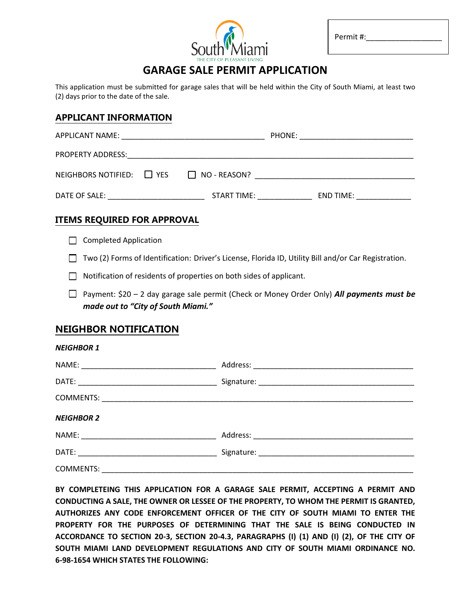

| Permit#: |
|----------|
|----------|

 $\overline{a}$ 

# **GARAGE SALE PERMIT APPLICATION**

This application must be submitted for garage sales that will be held within the City of South Miami, at least two (2) days prior to the date of the sale.

## **APPLICANT INFORMATION**

| APPLICANT NAME:                                    |             | PHONE: |           |
|----------------------------------------------------|-------------|--------|-----------|
| PROPERTY ADDRESS:                                  |             |        |           |
| NEIGHBORS NOTIFIED: $\Box$ YES $\Box$ NO - REASON? |             |        |           |
| DATE OF SALE:                                      | START TIME: |        | END TIME: |

# **ITEMS REQUIRED FOR APPROVAL**

Completed Application

Two (2) Forms of Identification: Driver's License, Florida ID, Utility Bill and/or Car Registration.

 $\Box$  Notification of residents of properties on both sides of applicant.

Payment: \$20 – 2 day garage sale permit (Check or Money Order Only) *All payments must be made out to "City of South Miami."*

# **NEIGHBOR NOTIFICATION**

#### *NEIGHBOR 1*

| <b>NEIGHBOR 2</b> |  |
|-------------------|--|
|                   |  |
|                   |  |
| <b>COMMENTS:</b>  |  |

**BY COMPLETEING THIS APPLICATION FOR A GARAGE SALE PERMIT, ACCEPTING A PERMIT AND CONDUCTING A SALE, THE OWNER OR LESSEE OF THE PROPERTY, TO WHOM THE PERMIT IS GRANTED, AUTHORIZES ANY CODE ENFORCEMENT OFFICER OF THE CITY OF SOUTH MIAMI TO ENTER THE PROPERTY FOR THE PURPOSES OF DETERMINING THAT THE SALE IS BEING CONDUCTED IN ACCORDANCE TO SECTION 20-3, SECTION 20-4.3, PARAGRAPHS (I) (1) AND (I) (2), OF THE CITY OF SOUTH MIAMI LAND DEVELOPMENT REGULATIONS AND CITY OF SOUTH MIAMI ORDINANCE NO. 6-98-1654 WHICH STATES THE FOLLOWING:**